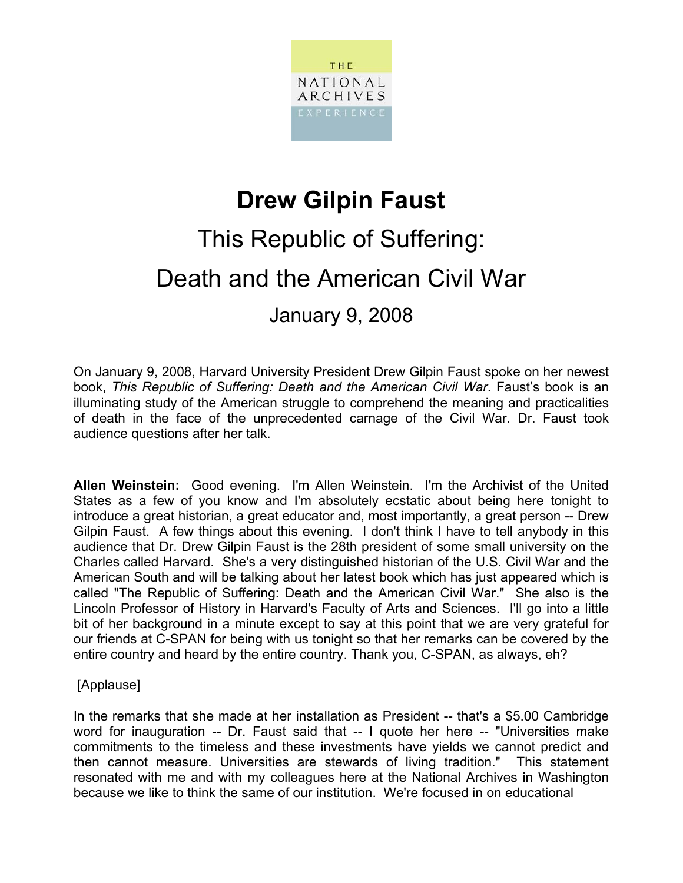

## **Drew Gilpin Faust**

# This Republic of Suffering: Death and the American Civil War

January 9, 2008

On January 9, 2008, Harvard University President Drew Gilpin Faust spoke on her newest book, *This Republic of Suffering: Death and the American Civil War*. Faust's book is an illuminating study of the American struggle to comprehend the meaning and practicalities of death in the face of the unprecedented carnage of the Civil War. Dr. Faust took audience questions after her talk.

**Allen Weinstein:** Good evening. I'm Allen Weinstein. I'm the Archivist of the United States as a few of you know and I'm absolutely ecstatic about being here tonight to introduce a great historian, a great educator and, most importantly, a great person -- Drew Gilpin Faust. A few things about this evening. I don't think I have to tell anybody in this audience that Dr. Drew Gilpin Faust is the 28th president of some small university on the Charles called Harvard. She's a very distinguished historian of the U.S. Civil War and the American South and will be talking about her latest book which has just appeared which is called "The Republic of Suffering: Death and the American Civil War." She also is the Lincoln Professor of History in Harvard's Faculty of Arts and Sciences. I'll go into a little bit of her background in a minute except to say at this point that we are very grateful for our friends at C-SPAN for being with us tonight so that her remarks can be covered by the entire country and heard by the entire country. Thank you, C-SPAN, as always, eh?

### [Applause]

In the remarks that she made at her installation as President -- that's a \$5.00 Cambridge word for inauguration -- Dr. Faust said that -- I quote her here -- "Universities make commitments to the timeless and these investments have yields we cannot predict and then cannot measure. Universities are stewards of living tradition." This statement resonated with me and with my colleagues here at the National Archives in Washington because we like to think the same of our institution. We're focused in on educational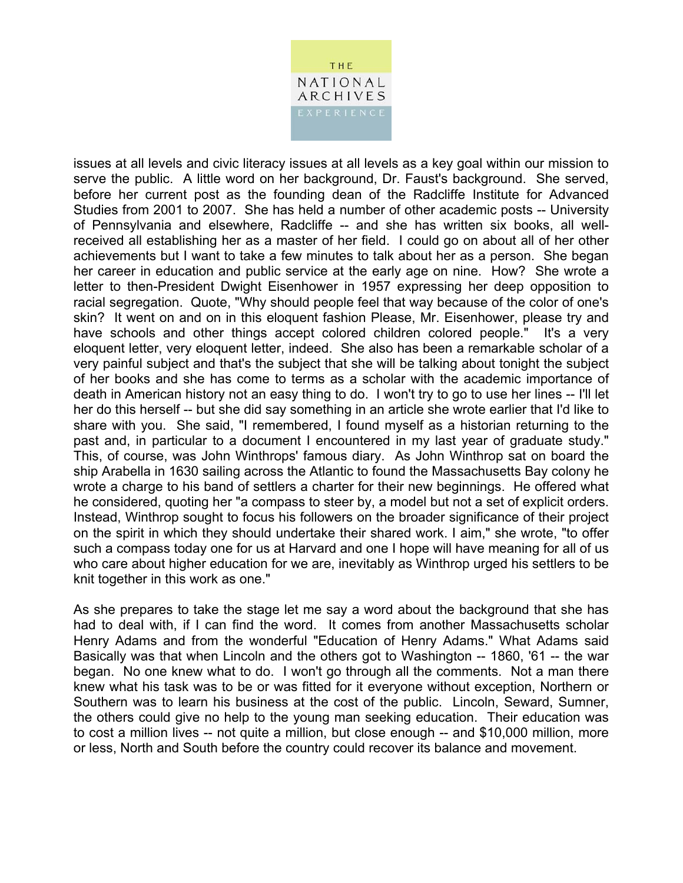

issues at all levels and civic literacy issues at all levels as a key goal within our mission to serve the public. A little word on her background, Dr. Faust's background. She served, before her current post as the founding dean of the Radcliffe Institute for Advanced Studies from 2001 to 2007. She has held a number of other academic posts -- University of Pennsylvania and elsewhere, Radcliffe -- and she has written six books, all wellreceived all establishing her as a master of her field. I could go on about all of her other achievements but I want to take a few minutes to talk about her as a person. She began her career in education and public service at the early age on nine. How? She wrote a letter to then-President Dwight Eisenhower in 1957 expressing her deep opposition to racial segregation. Quote, "Why should people feel that way because of the color of one's skin? It went on and on in this eloquent fashion Please, Mr. Eisenhower, please try and have schools and other things accept colored children colored people." It's a very eloquent letter, very eloquent letter, indeed. She also has been a remarkable scholar of a very painful subject and that's the subject that she will be talking about tonight the subject of her books and she has come to terms as a scholar with the academic importance of death in American history not an easy thing to do. I won't try to go to use her lines -- I'll let her do this herself -- but she did say something in an article she wrote earlier that I'd like to share with you. She said, "I remembered, I found myself as a historian returning to the past and, in particular to a document I encountered in my last year of graduate study." This, of course, was John Winthrops' famous diary. As John Winthrop sat on board the ship Arabella in 1630 sailing across the Atlantic to found the Massachusetts Bay colony he wrote a charge to his band of settlers a charter for their new beginnings. He offered what he considered, quoting her "a compass to steer by, a model but not a set of explicit orders. Instead, Winthrop sought to focus his followers on the broader significance of their project on the spirit in which they should undertake their shared work. I aim," she wrote, "to offer such a compass today one for us at Harvard and one I hope will have meaning for all of us who care about higher education for we are, inevitably as Winthrop urged his settlers to be knit together in this work as one."

As she prepares to take the stage let me say a word about the background that she has had to deal with, if I can find the word. It comes from another Massachusetts scholar Henry Adams and from the wonderful "Education of Henry Adams." What Adams said Basically was that when Lincoln and the others got to Washington -- 1860, '61 -- the war began. No one knew what to do. I won't go through all the comments. Not a man there knew what his task was to be or was fitted for it everyone without exception, Northern or Southern was to learn his business at the cost of the public. Lincoln, Seward, Sumner, the others could give no help to the young man seeking education. Their education was to cost a million lives -- not quite a million, but close enough -- and \$10,000 million, more or less, North and South before the country could recover its balance and movement.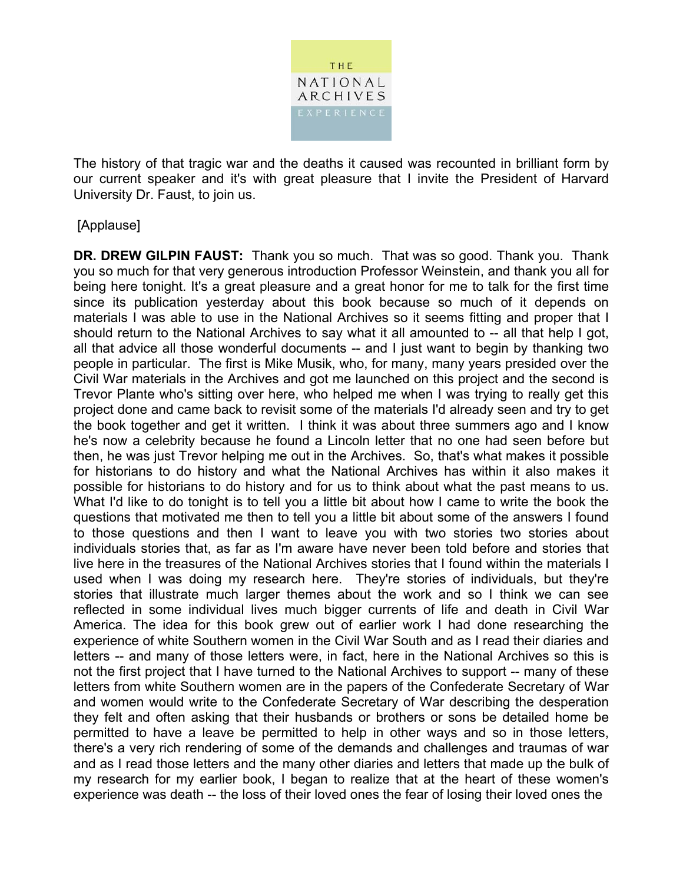

The history of that tragic war and the deaths it caused was recounted in brilliant form by our current speaker and it's with great pleasure that I invite the President of Harvard University Dr. Faust, to join us.

### [Applause]

**DR. DREW GILPIN FAUST:** Thank you so much. That was so good. Thank you. Thank you so much for that very generous introduction Professor Weinstein, and thank you all for being here tonight. It's a great pleasure and a great honor for me to talk for the first time since its publication yesterday about this book because so much of it depends on materials I was able to use in the National Archives so it seems fitting and proper that I should return to the National Archives to say what it all amounted to -- all that help I got, all that advice all those wonderful documents -- and I just want to begin by thanking two people in particular. The first is Mike Musik, who, for many, many years presided over the Civil War materials in the Archives and got me launched on this project and the second is Trevor Plante who's sitting over here, who helped me when I was trying to really get this project done and came back to revisit some of the materials I'd already seen and try to get the book together and get it written. I think it was about three summers ago and I know he's now a celebrity because he found a Lincoln letter that no one had seen before but then, he was just Trevor helping me out in the Archives. So, that's what makes it possible for historians to do history and what the National Archives has within it also makes it possible for historians to do history and for us to think about what the past means to us. What I'd like to do tonight is to tell you a little bit about how I came to write the book the questions that motivated me then to tell you a little bit about some of the answers I found to those questions and then I want to leave you with two stories two stories about individuals stories that, as far as I'm aware have never been told before and stories that live here in the treasures of the National Archives stories that I found within the materials I used when I was doing my research here. They're stories of individuals, but they're stories that illustrate much larger themes about the work and so I think we can see reflected in some individual lives much bigger currents of life and death in Civil War America. The idea for this book grew out of earlier work I had done researching the experience of white Southern women in the Civil War South and as I read their diaries and letters -- and many of those letters were, in fact, here in the National Archives so this is not the first project that I have turned to the National Archives to support -- many of these letters from white Southern women are in the papers of the Confederate Secretary of War and women would write to the Confederate Secretary of War describing the desperation they felt and often asking that their husbands or brothers or sons be detailed home be permitted to have a leave be permitted to help in other ways and so in those letters, there's a very rich rendering of some of the demands and challenges and traumas of war and as I read those letters and the many other diaries and letters that made up the bulk of my research for my earlier book, I began to realize that at the heart of these women's experience was death -- the loss of their loved ones the fear of losing their loved ones the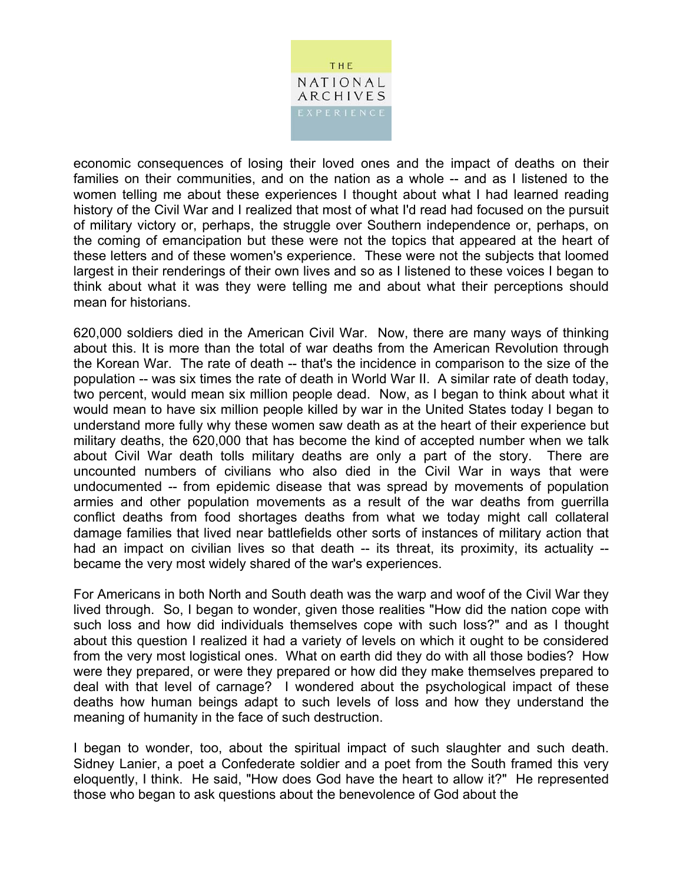

economic consequences of losing their loved ones and the impact of deaths on their families on their communities, and on the nation as a whole -- and as I listened to the women telling me about these experiences I thought about what I had learned reading history of the Civil War and I realized that most of what I'd read had focused on the pursuit of military victory or, perhaps, the struggle over Southern independence or, perhaps, on the coming of emancipation but these were not the topics that appeared at the heart of these letters and of these women's experience. These were not the subjects that loomed largest in their renderings of their own lives and so as I listened to these voices I began to think about what it was they were telling me and about what their perceptions should mean for historians.

620,000 soldiers died in the American Civil War. Now, there are many ways of thinking about this. It is more than the total of war deaths from the American Revolution through the Korean War. The rate of death -- that's the incidence in comparison to the size of the population -- was six times the rate of death in World War II. A similar rate of death today, two percent, would mean six million people dead. Now, as I began to think about what it would mean to have six million people killed by war in the United States today I began to understand more fully why these women saw death as at the heart of their experience but military deaths, the 620,000 that has become the kind of accepted number when we talk about Civil War death tolls military deaths are only a part of the story. There are uncounted numbers of civilians who also died in the Civil War in ways that were undocumented -- from epidemic disease that was spread by movements of population armies and other population movements as a result of the war deaths from guerrilla conflict deaths from food shortages deaths from what we today might call collateral damage families that lived near battlefields other sorts of instances of military action that had an impact on civilian lives so that death -- its threat, its proximity, its actuality -became the very most widely shared of the war's experiences.

For Americans in both North and South death was the warp and woof of the Civil War they lived through. So, I began to wonder, given those realities "How did the nation cope with such loss and how did individuals themselves cope with such loss?" and as I thought about this question I realized it had a variety of levels on which it ought to be considered from the very most logistical ones. What on earth did they do with all those bodies? How were they prepared, or were they prepared or how did they make themselves prepared to deal with that level of carnage? I wondered about the psychological impact of these deaths how human beings adapt to such levels of loss and how they understand the meaning of humanity in the face of such destruction.

I began to wonder, too, about the spiritual impact of such slaughter and such death. Sidney Lanier, a poet a Confederate soldier and a poet from the South framed this very eloquently, I think. He said, "How does God have the heart to allow it?" He represented those who began to ask questions about the benevolence of God about the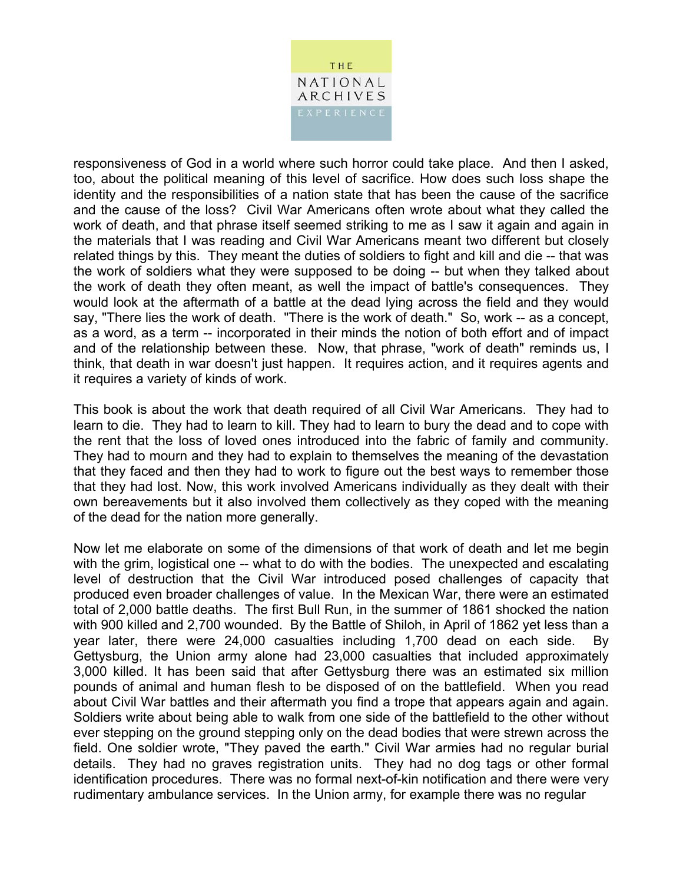

responsiveness of God in a world where such horror could take place. And then I asked, too, about the political meaning of this level of sacrifice. How does such loss shape the identity and the responsibilities of a nation state that has been the cause of the sacrifice and the cause of the loss? Civil War Americans often wrote about what they called the work of death, and that phrase itself seemed striking to me as I saw it again and again in the materials that I was reading and Civil War Americans meant two different but closely related things by this. They meant the duties of soldiers to fight and kill and die -- that was the work of soldiers what they were supposed to be doing -- but when they talked about the work of death they often meant, as well the impact of battle's consequences. They would look at the aftermath of a battle at the dead lying across the field and they would say, "There lies the work of death. "There is the work of death." So, work -- as a concept, as a word, as a term -- incorporated in their minds the notion of both effort and of impact and of the relationship between these. Now, that phrase, "work of death" reminds us, I think, that death in war doesn't just happen. It requires action, and it requires agents and it requires a variety of kinds of work.

This book is about the work that death required of all Civil War Americans. They had to learn to die. They had to learn to kill. They had to learn to bury the dead and to cope with the rent that the loss of loved ones introduced into the fabric of family and community. They had to mourn and they had to explain to themselves the meaning of the devastation that they faced and then they had to work to figure out the best ways to remember those that they had lost. Now, this work involved Americans individually as they dealt with their own bereavements but it also involved them collectively as they coped with the meaning of the dead for the nation more generally.

Now let me elaborate on some of the dimensions of that work of death and let me begin with the grim, logistical one -- what to do with the bodies. The unexpected and escalating level of destruction that the Civil War introduced posed challenges of capacity that produced even broader challenges of value. In the Mexican War, there were an estimated total of 2,000 battle deaths. The first Bull Run, in the summer of 1861 shocked the nation with 900 killed and 2,700 wounded. By the Battle of Shiloh, in April of 1862 yet less than a year later, there were 24,000 casualties including 1,700 dead on each side. By Gettysburg, the Union army alone had 23,000 casualties that included approximately 3,000 killed. It has been said that after Gettysburg there was an estimated six million pounds of animal and human flesh to be disposed of on the battlefield. When you read about Civil War battles and their aftermath you find a trope that appears again and again. Soldiers write about being able to walk from one side of the battlefield to the other without ever stepping on the ground stepping only on the dead bodies that were strewn across the field. One soldier wrote, "They paved the earth." Civil War armies had no regular burial details. They had no graves registration units. They had no dog tags or other formal identification procedures. There was no formal next-of-kin notification and there were very rudimentary ambulance services. In the Union army, for example there was no regular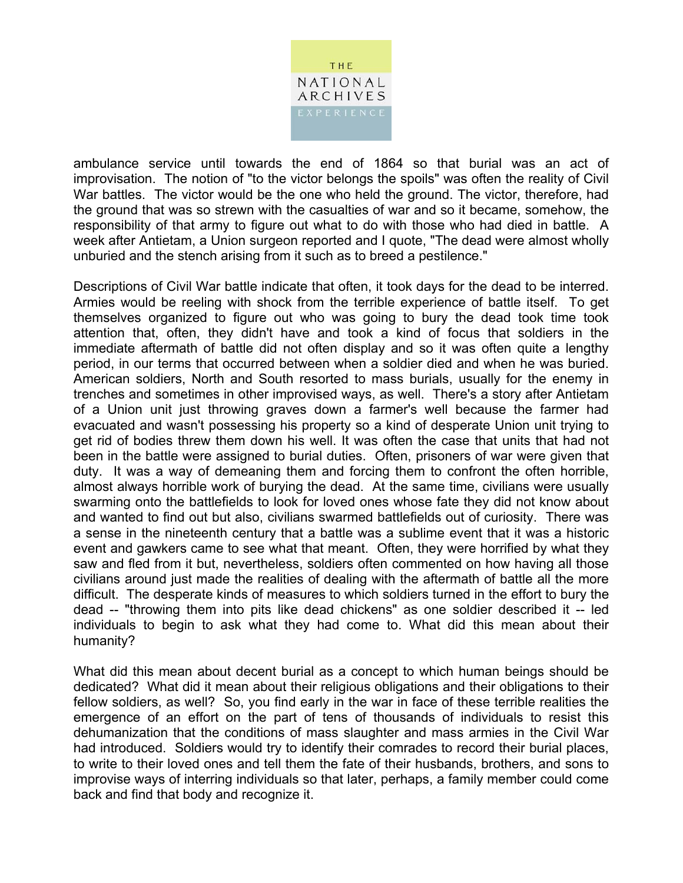

ambulance service until towards the end of 1864 so that burial was an act of improvisation. The notion of "to the victor belongs the spoils" was often the reality of Civil War battles. The victor would be the one who held the ground. The victor, therefore, had the ground that was so strewn with the casualties of war and so it became, somehow, the responsibility of that army to figure out what to do with those who had died in battle. A week after Antietam, a Union surgeon reported and I quote, "The dead were almost wholly unburied and the stench arising from it such as to breed a pestilence."

Descriptions of Civil War battle indicate that often, it took days for the dead to be interred. Armies would be reeling with shock from the terrible experience of battle itself. To get themselves organized to figure out who was going to bury the dead took time took attention that, often, they didn't have and took a kind of focus that soldiers in the immediate aftermath of battle did not often display and so it was often quite a lengthy period, in our terms that occurred between when a soldier died and when he was buried. American soldiers, North and South resorted to mass burials, usually for the enemy in trenches and sometimes in other improvised ways, as well. There's a story after Antietam of a Union unit just throwing graves down a farmer's well because the farmer had evacuated and wasn't possessing his property so a kind of desperate Union unit trying to get rid of bodies threw them down his well. It was often the case that units that had not been in the battle were assigned to burial duties. Often, prisoners of war were given that duty. It was a way of demeaning them and forcing them to confront the often horrible, almost always horrible work of burying the dead. At the same time, civilians were usually swarming onto the battlefields to look for loved ones whose fate they did not know about and wanted to find out but also, civilians swarmed battlefields out of curiosity. There was a sense in the nineteenth century that a battle was a sublime event that it was a historic event and gawkers came to see what that meant. Often, they were horrified by what they saw and fled from it but, nevertheless, soldiers often commented on how having all those civilians around just made the realities of dealing with the aftermath of battle all the more difficult. The desperate kinds of measures to which soldiers turned in the effort to bury the dead -- "throwing them into pits like dead chickens" as one soldier described it -- led individuals to begin to ask what they had come to. What did this mean about their humanity?

What did this mean about decent burial as a concept to which human beings should be dedicated? What did it mean about their religious obligations and their obligations to their fellow soldiers, as well? So, you find early in the war in face of these terrible realities the emergence of an effort on the part of tens of thousands of individuals to resist this dehumanization that the conditions of mass slaughter and mass armies in the Civil War had introduced. Soldiers would try to identify their comrades to record their burial places, to write to their loved ones and tell them the fate of their husbands, brothers, and sons to improvise ways of interring individuals so that later, perhaps, a family member could come back and find that body and recognize it.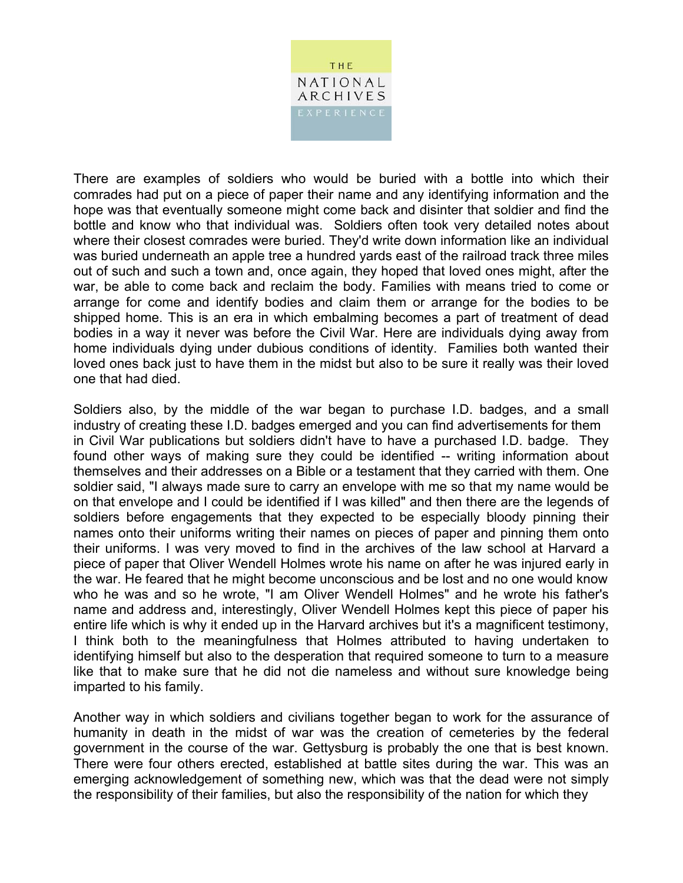

There are examples of soldiers who would be buried with a bottle into which their comrades had put on a piece of paper their name and any identifying information and the hope was that eventually someone might come back and disinter that soldier and find the bottle and know who that individual was. Soldiers often took very detailed notes about where their closest comrades were buried. They'd write down information like an individual was buried underneath an apple tree a hundred yards east of the railroad track three miles out of such and such a town and, once again, they hoped that loved ones might, after the war, be able to come back and reclaim the body. Families with means tried to come or arrange for come and identify bodies and claim them or arrange for the bodies to be shipped home. This is an era in which embalming becomes a part of treatment of dead bodies in a way it never was before the Civil War. Here are individuals dying away from home individuals dying under dubious conditions of identity. Families both wanted their loved ones back just to have them in the midst but also to be sure it really was their loved one that had died.

Soldiers also, by the middle of the war began to purchase I.D. badges, and a small industry of creating these I.D. badges emerged and you can find advertisements for them in Civil War publications but soldiers didn't have to have a purchased I.D. badge. They found other ways of making sure they could be identified -- writing information about themselves and their addresses on a Bible or a testament that they carried with them. One soldier said, "I always made sure to carry an envelope with me so that my name would be on that envelope and I could be identified if I was killed" and then there are the legends of soldiers before engagements that they expected to be especially bloody pinning their names onto their uniforms writing their names on pieces of paper and pinning them onto their uniforms. I was very moved to find in the archives of the law school at Harvard a piece of paper that Oliver Wendell Holmes wrote his name on after he was injured early in the war. He feared that he might become unconscious and be lost and no one would know who he was and so he wrote, "I am Oliver Wendell Holmes" and he wrote his father's name and address and, interestingly, Oliver Wendell Holmes kept this piece of paper his entire life which is why it ended up in the Harvard archives but it's a magnificent testimony, I think both to the meaningfulness that Holmes attributed to having undertaken to identifying himself but also to the desperation that required someone to turn to a measure like that to make sure that he did not die nameless and without sure knowledge being imparted to his family.

Another way in which soldiers and civilians together began to work for the assurance of humanity in death in the midst of war was the creation of cemeteries by the federal government in the course of the war. Gettysburg is probably the one that is best known. There were four others erected, established at battle sites during the war. This was an emerging acknowledgement of something new, which was that the dead were not simply the responsibility of their families, but also the responsibility of the nation for which they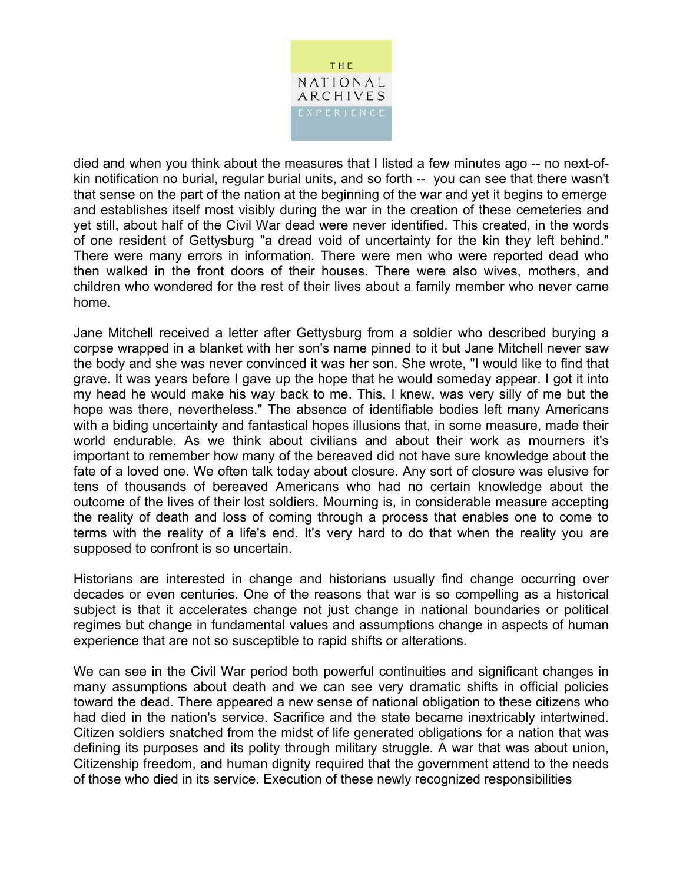

died and when you think about the measures that I listed a few minutes ago -- no next-ofkin notification no burial, regular burial units, and so forth -- you can see that there wasn't that sense on the part of the nation at the beginning of the war and yet it begins to emerge and establishes itself most visibly during the war in the creation of these cemeteries and yet still, about half of the Civil War dead were never identified. This created, in the words of one resident of Gettysburg "a dread void of uncertainty for the kin they left behind." There were many errors in information. There were men who were reported dead who then walked in the front doors of their houses. There were also wives, mothers, and children who wondered for the rest of their lives about a family member who never came home.

Jane Mitchell received a letter after Gettysburg from a soldier who described burying a corpse wrapped in a blanket with her son's name pinned to it but Jane Mitchell never saw the body and she was never convinced it was her son. She wrote, "I would like to find that grave. It was years before I gave up the hope that he would someday appear. I got it into my head he would make his way back to me. This, I knew, was very silly of me but the hope was there, nevertheless." The absence of identifiable bodies left many Americans with a biding uncertainty and fantastical hopes illusions that, in some measure, made their world endurable. As we think about civilians and about their work as mourners it's important to remember how many of the bereaved did not have sure knowledge about the fate of a loved one. We often talk today about closure. Any sort of closure was elusive for tens of thousands of bereaved Americans who had no certain knowledge about the outcome of the lives of their lost soldiers. Mourning is, in considerable measure accepting the reality of death and loss of coming through a process that enables one to come to terms with the reality of a life's end. It's very hard to do that when the reality you are supposed to confront is so uncertain.

Historians are interested in change and historians usually find change occurring over decades or even centuries. One of the reasons that war is so compelling as a historical subject is that it accelerates change not just change in national boundaries or political regimes but change in fundamental values and assumptions change in aspects of human experience that are not so susceptible to rapid shifts or alterations.

We can see in the Civil War period both powerful continuities and significant changes in many assumptions about death and we can see very dramatic shifts in official policies toward the dead. There appeared a new sense of national obligation to these citizens who had died in the nation's service. Sacrifice and the state became inextricably intertwined. Citizen soldiers snatched from the midst of life generated obligations for a nation that was defining its purposes and its polity through military struggle. A war that was about union, Citizenship freedom, and human dignity required that the government attend to the needs of those who died in its service. Execution of these newly recognized responsibilities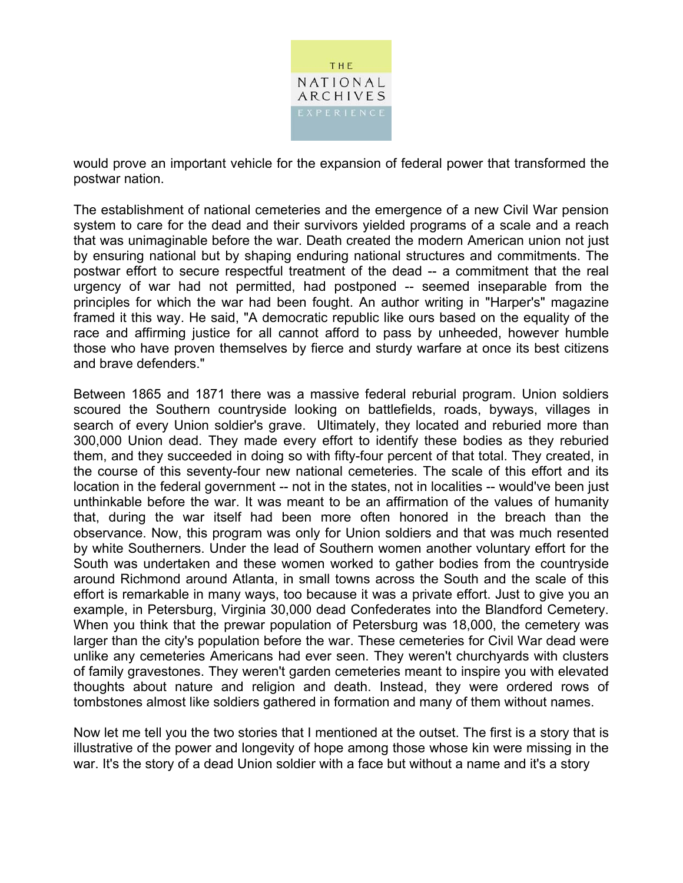

would prove an important vehicle for the expansion of federal power that transformed the postwar nation.

The establishment of national cemeteries and the emergence of a new Civil War pension system to care for the dead and their survivors yielded programs of a scale and a reach that was unimaginable before the war. Death created the modern American union not just by ensuring national but by shaping enduring national structures and commitments. The postwar effort to secure respectful treatment of the dead -- a commitment that the real urgency of war had not permitted, had postponed -- seemed inseparable from the principles for which the war had been fought. An author writing in "Harper's" magazine framed it this way. He said, "A democratic republic like ours based on the equality of the race and affirming justice for all cannot afford to pass by unheeded, however humble those who have proven themselves by fierce and sturdy warfare at once its best citizens and brave defenders."

Between 1865 and 1871 there was a massive federal reburial program. Union soldiers scoured the Southern countryside looking on battlefields, roads, byways, villages in search of every Union soldier's grave. Ultimately, they located and reburied more than 300,000 Union dead. They made every effort to identify these bodies as they reburied them, and they succeeded in doing so with fifty-four percent of that total. They created, in the course of this seventy-four new national cemeteries. The scale of this effort and its location in the federal government -- not in the states, not in localities -- would've been just unthinkable before the war. It was meant to be an affirmation of the values of humanity that, during the war itself had been more often honored in the breach than the observance. Now, this program was only for Union soldiers and that was much resented by white Southerners. Under the lead of Southern women another voluntary effort for the South was undertaken and these women worked to gather bodies from the countryside around Richmond around Atlanta, in small towns across the South and the scale of this effort is remarkable in many ways, too because it was a private effort. Just to give you an example, in Petersburg, Virginia 30,000 dead Confederates into the Blandford Cemetery. When you think that the prewar population of Petersburg was 18,000, the cemetery was larger than the city's population before the war. These cemeteries for Civil War dead were unlike any cemeteries Americans had ever seen. They weren't churchyards with clusters of family gravestones. They weren't garden cemeteries meant to inspire you with elevated thoughts about nature and religion and death. Instead, they were ordered rows of tombstones almost like soldiers gathered in formation and many of them without names.

Now let me tell you the two stories that I mentioned at the outset. The first is a story that is illustrative of the power and longevity of hope among those whose kin were missing in the war. It's the story of a dead Union soldier with a face but without a name and it's a story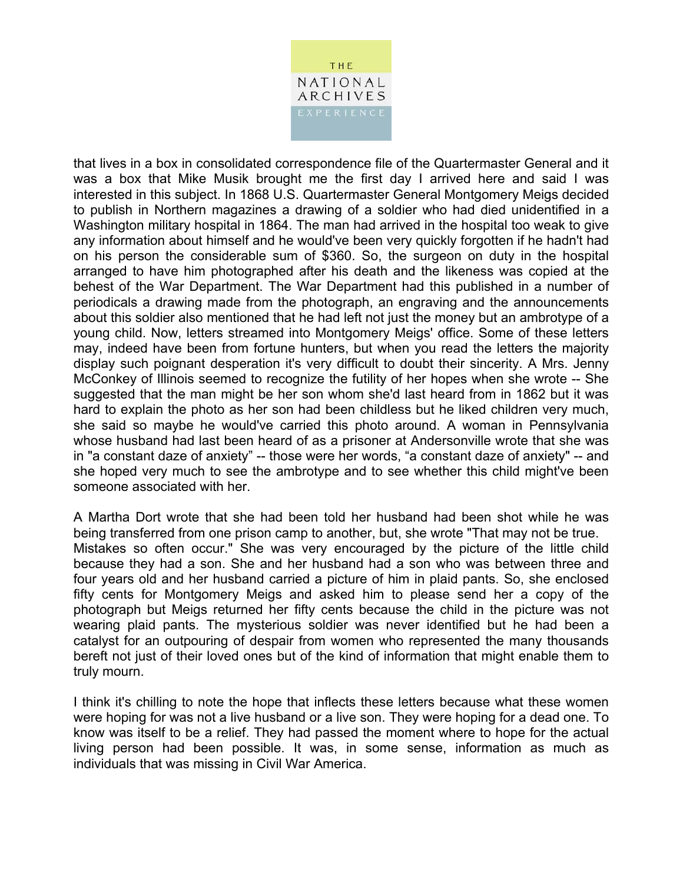

that lives in a box in consolidated correspondence file of the Quartermaster General and it was a box that Mike Musik brought me the first day I arrived here and said I was interested in this subject. In 1868 U.S. Quartermaster General Montgomery Meigs decided to publish in Northern magazines a drawing of a soldier who had died unidentified in a Washington military hospital in 1864. The man had arrived in the hospital too weak to give any information about himself and he would've been very quickly forgotten if he hadn't had on his person the considerable sum of \$360. So, the surgeon on duty in the hospital arranged to have him photographed after his death and the likeness was copied at the behest of the War Department. The War Department had this published in a number of periodicals a drawing made from the photograph, an engraving and the announcements about this soldier also mentioned that he had left not just the money but an ambrotype of a young child. Now, letters streamed into Montgomery Meigs' office. Some of these letters may, indeed have been from fortune hunters, but when you read the letters the majority display such poignant desperation it's very difficult to doubt their sincerity. A Mrs. Jenny McConkey of Illinois seemed to recognize the futility of her hopes when she wrote -- She suggested that the man might be her son whom she'd last heard from in 1862 but it was hard to explain the photo as her son had been childless but he liked children very much, she said so maybe he would've carried this photo around. A woman in Pennsylvania whose husband had last been heard of as a prisoner at Andersonville wrote that she was in "a constant daze of anxiety" -- those were her words, "a constant daze of anxiety" -- and she hoped very much to see the ambrotype and to see whether this child might've been someone associated with her.

A Martha Dort wrote that she had been told her husband had been shot while he was being transferred from one prison camp to another, but, she wrote "That may not be true. Mistakes so often occur." She was very encouraged by the picture of the little child because they had a son. She and her husband had a son who was between three and four years old and her husband carried a picture of him in plaid pants. So, she enclosed fifty cents for Montgomery Meigs and asked him to please send her a copy of the photograph but Meigs returned her fifty cents because the child in the picture was not wearing plaid pants. The mysterious soldier was never identified but he had been a catalyst for an outpouring of despair from women who represented the many thousands bereft not just of their loved ones but of the kind of information that might enable them to truly mourn.

I think it's chilling to note the hope that inflects these letters because what these women were hoping for was not a live husband or a live son. They were hoping for a dead one. To know was itself to be a relief. They had passed the moment where to hope for the actual living person had been possible. It was, in some sense, information as much as individuals that was missing in Civil War America.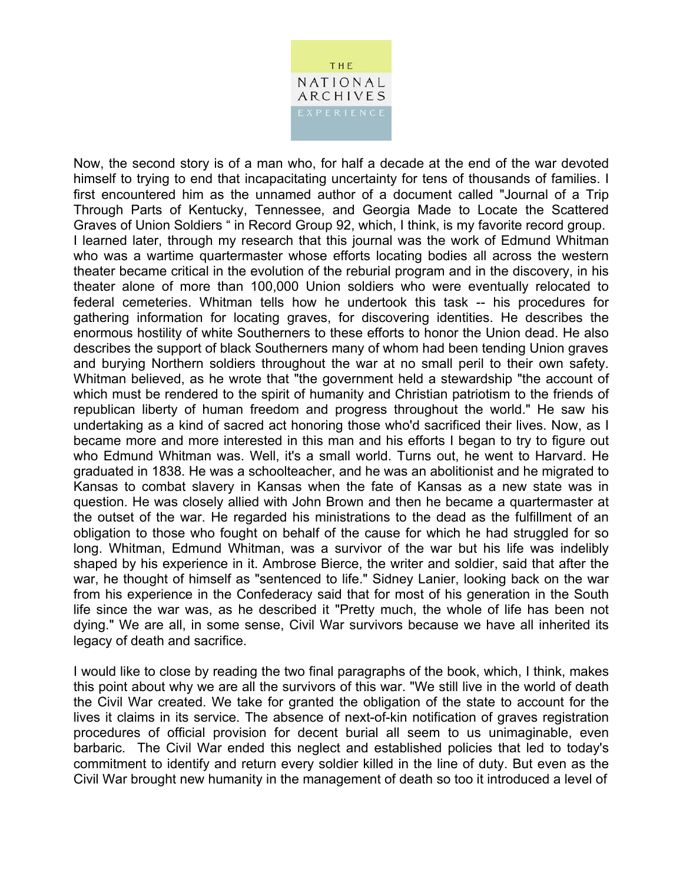

Now, the second story is of a man who, for half a decade at the end of the war devoted himself to trying to end that incapacitating uncertainty for tens of thousands of families. I first encountered him as the unnamed author of a document called "Journal of a Trip Through Parts of Kentucky, Tennessee, and Georgia Made to Locate the Scattered Graves of Union Soldiers " in Record Group 92, which, I think, is my favorite record group. I learned later, through my research that this journal was the work of Edmund Whitman who was a wartime quartermaster whose efforts locating bodies all across the western theater became critical in the evolution of the reburial program and in the discovery, in his theater alone of more than 100,000 Union soldiers who were eventually relocated to federal cemeteries. Whitman tells how he undertook this task -- his procedures for gathering information for locating graves, for discovering identities. He describes the enormous hostility of white Southerners to these efforts to honor the Union dead. He also describes the support of black Southerners many of whom had been tending Union graves and burying Northern soldiers throughout the war at no small peril to their own safety. Whitman believed, as he wrote that "the government held a stewardship "the account of which must be rendered to the spirit of humanity and Christian patriotism to the friends of republican liberty of human freedom and progress throughout the world." He saw his undertaking as a kind of sacred act honoring those who'd sacrificed their lives. Now, as I became more and more interested in this man and his efforts I began to try to figure out who Edmund Whitman was. Well, it's a small world. Turns out, he went to Harvard. He graduated in 1838. He was a schoolteacher, and he was an abolitionist and he migrated to Kansas to combat slavery in Kansas when the fate of Kansas as a new state was in question. He was closely allied with John Brown and then he became a quartermaster at the outset of the war. He regarded his ministrations to the dead as the fulfillment of an obligation to those who fought on behalf of the cause for which he had struggled for so long. Whitman, Edmund Whitman, was a survivor of the war but his life was indelibly shaped by his experience in it. Ambrose Bierce, the writer and soldier, said that after the war, he thought of himself as "sentenced to life." Sidney Lanier, looking back on the war from his experience in the Confederacy said that for most of his generation in the South life since the war was, as he described it "Pretty much, the whole of life has been not dying." We are all, in some sense, Civil War survivors because we have all inherited its legacy of death and sacrifice.

I would like to close by reading the two final paragraphs of the book, which, I think, makes this point about why we are all the survivors of this war. "We still live in the world of death the Civil War created. We take for granted the obligation of the state to account for the lives it claims in its service. The absence of next-of-kin notification of graves registration procedures of official provision for decent burial all seem to us unimaginable, even barbaric. The Civil War ended this neglect and established policies that led to today's commitment to identify and return every soldier killed in the line of duty. But even as the Civil War brought new humanity in the management of death so too it introduced a level of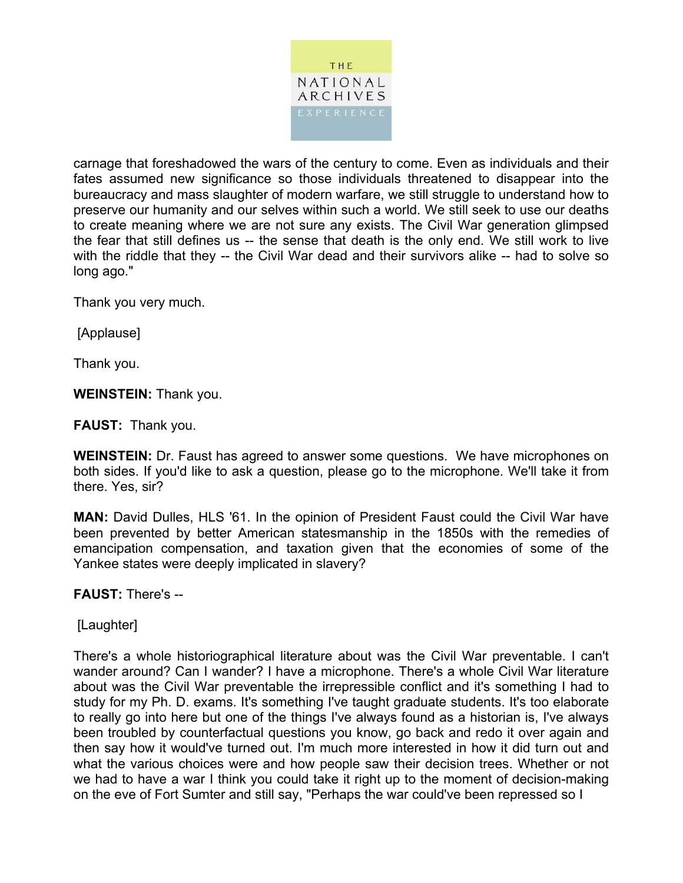

carnage that foreshadowed the wars of the century to come. Even as individuals and their fates assumed new significance so those individuals threatened to disappear into the bureaucracy and mass slaughter of modern warfare, we still struggle to understand how to preserve our humanity and our selves within such a world. We still seek to use our deaths to create meaning where we are not sure any exists. The Civil War generation glimpsed the fear that still defines us -- the sense that death is the only end. We still work to live with the riddle that they -- the Civil War dead and their survivors alike -- had to solve so long ago."

Thank you very much.

[Applause]

Thank you.

**WEINSTEIN:** Thank you.

**FAUST:** Thank you.

**WEINSTEIN:** Dr. Faust has agreed to answer some questions. We have microphones on both sides. If you'd like to ask a question, please go to the microphone. We'll take it from there. Yes, sir?

**MAN:** David Dulles, HLS '61. In the opinion of President Faust could the Civil War have been prevented by better American statesmanship in the 1850s with the remedies of emancipation compensation, and taxation given that the economies of some of the Yankee states were deeply implicated in slavery?

**FAUST:** There's --

[Laughter]

There's a whole historiographical literature about was the Civil War preventable. I can't wander around? Can I wander? I have a microphone. There's a whole Civil War literature about was the Civil War preventable the irrepressible conflict and it's something I had to study for my Ph. D. exams. It's something I've taught graduate students. It's too elaborate to really go into here but one of the things I've always found as a historian is, I've always been troubled by counterfactual questions you know, go back and redo it over again and then say how it would've turned out. I'm much more interested in how it did turn out and what the various choices were and how people saw their decision trees. Whether or not we had to have a war I think you could take it right up to the moment of decision-making on the eve of Fort Sumter and still say, "Perhaps the war could've been repressed so I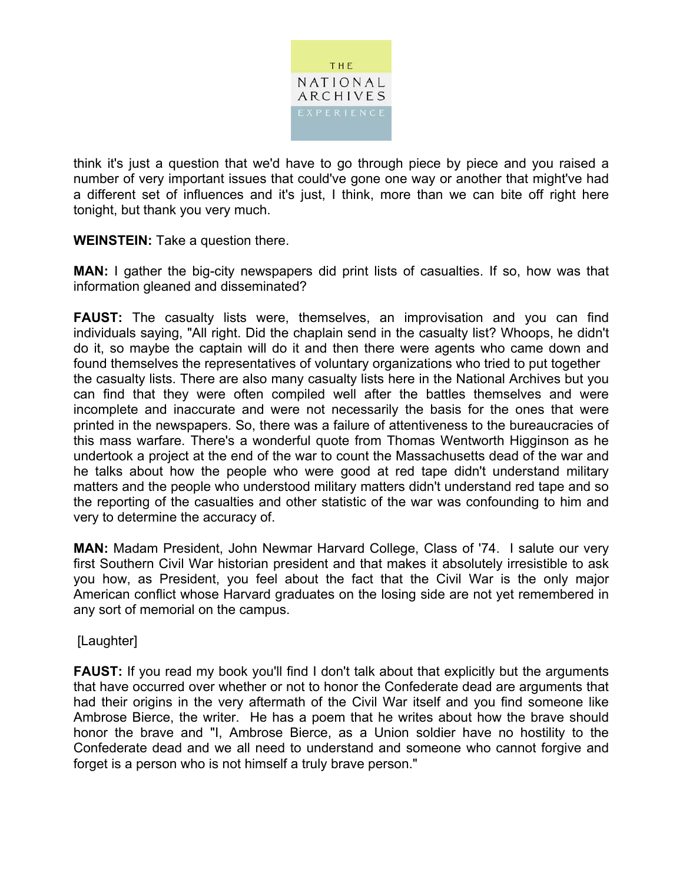

think it's just a question that we'd have to go through piece by piece and you raised a number of very important issues that could've gone one way or another that might've had a different set of influences and it's just, I think, more than we can bite off right here tonight, but thank you very much.

**WEINSTEIN:** Take a question there.

**MAN:** I gather the big-city newspapers did print lists of casualties. If so, how was that information gleaned and disseminated?

**FAUST:** The casualty lists were, themselves, an improvisation and you can find individuals saying, "All right. Did the chaplain send in the casualty list? Whoops, he didn't do it, so maybe the captain will do it and then there were agents who came down and found themselves the representatives of voluntary organizations who tried to put together the casualty lists. There are also many casualty lists here in the National Archives but you can find that they were often compiled well after the battles themselves and were incomplete and inaccurate and were not necessarily the basis for the ones that were printed in the newspapers. So, there was a failure of attentiveness to the bureaucracies of this mass warfare. There's a wonderful quote from Thomas Wentworth Higginson as he undertook a project at the end of the war to count the Massachusetts dead of the war and he talks about how the people who were good at red tape didn't understand military matters and the people who understood military matters didn't understand red tape and so the reporting of the casualties and other statistic of the war was confounding to him and very to determine the accuracy of.

**MAN:** Madam President, John Newmar Harvard College, Class of '74. I salute our very first Southern Civil War historian president and that makes it absolutely irresistible to ask you how, as President, you feel about the fact that the Civil War is the only major American conflict whose Harvard graduates on the losing side are not yet remembered in any sort of memorial on the campus.

[Laughter]

**FAUST:** If you read my book you'll find I don't talk about that explicitly but the arguments that have occurred over whether or not to honor the Confederate dead are arguments that had their origins in the very aftermath of the Civil War itself and you find someone like Ambrose Bierce, the writer. He has a poem that he writes about how the brave should honor the brave and "I, Ambrose Bierce, as a Union soldier have no hostility to the Confederate dead and we all need to understand and someone who cannot forgive and forget is a person who is not himself a truly brave person."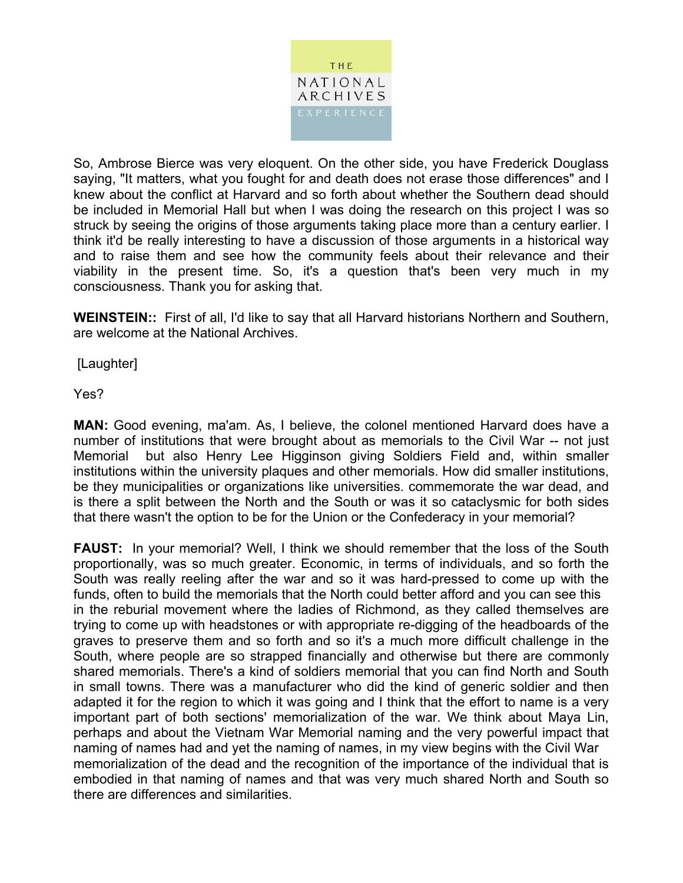

So, Ambrose Bierce was very eloquent. On the other side, you have Frederick Douglass saying, "It matters, what you fought for and death does not erase those differences" and I knew about the conflict at Harvard and so forth about whether the Southern dead should be included in Memorial Hall but when I was doing the research on this project I was so struck by seeing the origins of those arguments taking place more than a century earlier. I think it'd be really interesting to have a discussion of those arguments in a historical way and to raise them and see how the community feels about their relevance and their viability in the present time. So, it's a question that's been very much in my consciousness. Thank you for asking that.

**WEINSTEIN::** First of all, I'd like to say that all Harvard historians Northern and Southern, are welcome at the National Archives.

[Laughter]

Yes?

**MAN:** Good evening, ma'am. As, I believe, the colonel mentioned Harvard does have a number of institutions that were brought about as memorials to the Civil War -- not just Memorial but also Henry Lee Higginson giving Soldiers Field and, within smaller institutions within the university plaques and other memorials. How did smaller institutions, be they municipalities or organizations like universities. commemorate the war dead, and is there a split between the North and the South or was it so cataclysmic for both sides that there wasn't the option to be for the Union or the Confederacy in your memorial?

**FAUST:** In your memorial? Well, I think we should remember that the loss of the South proportionally, was so much greater. Economic, in terms of individuals, and so forth the South was really reeling after the war and so it was hard-pressed to come up with the funds, often to build the memorials that the North could better afford and you can see this in the reburial movement where the ladies of Richmond, as they called themselves are trying to come up with headstones or with appropriate re-digging of the headboards of the graves to preserve them and so forth and so it's a much more difficult challenge in the South, where people are so strapped financially and otherwise but there are commonly shared memorials. There's a kind of soldiers memorial that you can find North and South in small towns. There was a manufacturer who did the kind of generic soldier and then adapted it for the region to which it was going and I think that the effort to name is a very important part of both sections' memorialization of the war. We think about Maya Lin, perhaps and about the Vietnam War Memorial naming and the very powerful impact that naming of names had and yet the naming of names, in my view begins with the Civil War memorialization of the dead and the recognition of the importance of the individual that is embodied in that naming of names and that was very much shared North and South so there are differences and similarities.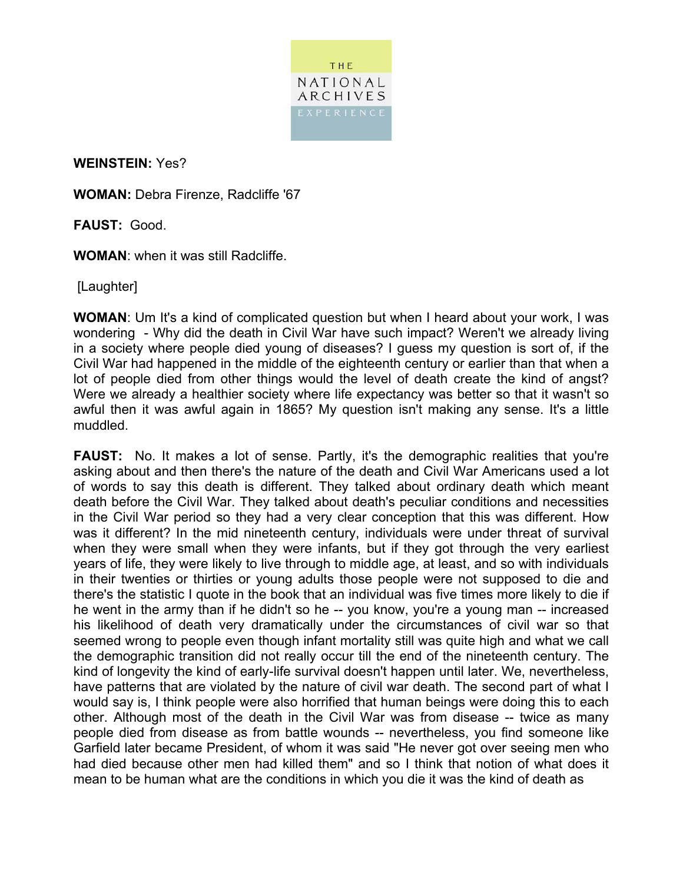

**WEINSTEIN:** Yes?

**WOMAN:** Debra Firenze, Radcliffe '67

**FAUST:** Good.

**WOMAN**: when it was still Radcliffe.

[Laughter]

**WOMAN**: Um It's a kind of complicated question but when I heard about your work, I was wondering - Why did the death in Civil War have such impact? Weren't we already living in a society where people died young of diseases? I guess my question is sort of, if the Civil War had happened in the middle of the eighteenth century or earlier than that when a lot of people died from other things would the level of death create the kind of angst? Were we already a healthier society where life expectancy was better so that it wasn't so awful then it was awful again in 1865? My question isn't making any sense. It's a little muddled.

**FAUST:** No. It makes a lot of sense. Partly, it's the demographic realities that you're asking about and then there's the nature of the death and Civil War Americans used a lot of words to say this death is different. They talked about ordinary death which meant death before the Civil War. They talked about death's peculiar conditions and necessities in the Civil War period so they had a very clear conception that this was different. How was it different? In the mid nineteenth century, individuals were under threat of survival when they were small when they were infants, but if they got through the very earliest years of life, they were likely to live through to middle age, at least, and so with individuals in their twenties or thirties or young adults those people were not supposed to die and there's the statistic I quote in the book that an individual was five times more likely to die if he went in the army than if he didn't so he -- you know, you're a young man -- increased his likelihood of death very dramatically under the circumstances of civil war so that seemed wrong to people even though infant mortality still was quite high and what we call the demographic transition did not really occur till the end of the nineteenth century. The kind of longevity the kind of early-life survival doesn't happen until later. We, nevertheless, have patterns that are violated by the nature of civil war death. The second part of what I would say is, I think people were also horrified that human beings were doing this to each other. Although most of the death in the Civil War was from disease -- twice as many people died from disease as from battle wounds -- nevertheless, you find someone like Garfield later became President, of whom it was said "He never got over seeing men who had died because other men had killed them" and so I think that notion of what does it mean to be human what are the conditions in which you die it was the kind of death as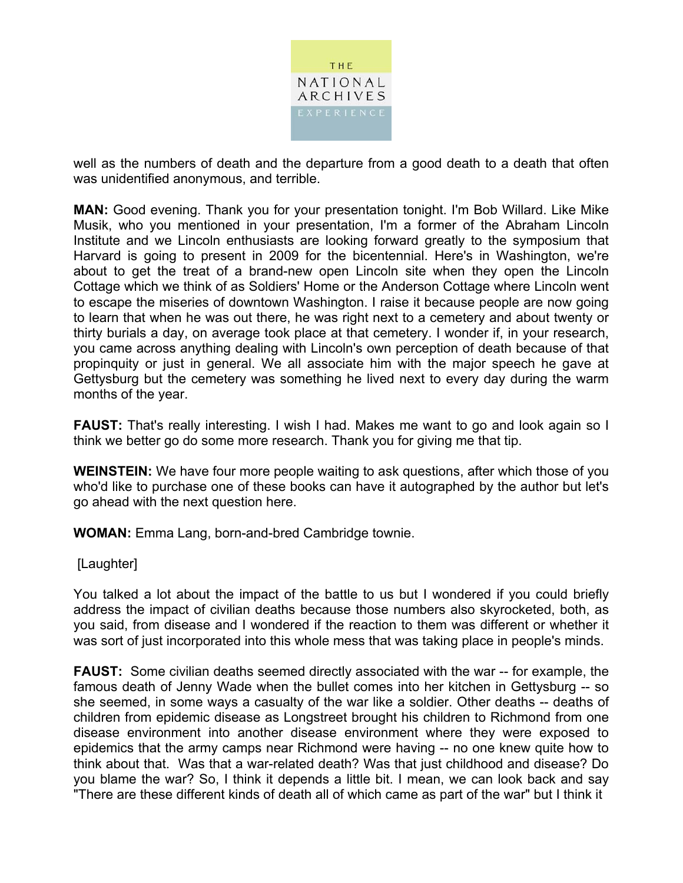

well as the numbers of death and the departure from a good death to a death that often was unidentified anonymous, and terrible.

**MAN:** Good evening. Thank you for your presentation tonight. I'm Bob Willard. Like Mike Musik, who you mentioned in your presentation, I'm a former of the Abraham Lincoln Institute and we Lincoln enthusiasts are looking forward greatly to the symposium that Harvard is going to present in 2009 for the bicentennial. Here's in Washington, we're about to get the treat of a brand-new open Lincoln site when they open the Lincoln Cottage which we think of as Soldiers' Home or the Anderson Cottage where Lincoln went to escape the miseries of downtown Washington. I raise it because people are now going to learn that when he was out there, he was right next to a cemetery and about twenty or thirty burials a day, on average took place at that cemetery. I wonder if, in your research, you came across anything dealing with Lincoln's own perception of death because of that propinquity or just in general. We all associate him with the major speech he gave at Gettysburg but the cemetery was something he lived next to every day during the warm months of the year.

**FAUST:** That's really interesting. I wish I had. Makes me want to go and look again so I think we better go do some more research. Thank you for giving me that tip.

**WEINSTEIN:** We have four more people waiting to ask questions, after which those of you who'd like to purchase one of these books can have it autographed by the author but let's go ahead with the next question here.

**WOMAN:** Emma Lang, born-and-bred Cambridge townie.

#### [Laughter]

You talked a lot about the impact of the battle to us but I wondered if you could briefly address the impact of civilian deaths because those numbers also skyrocketed, both, as you said, from disease and I wondered if the reaction to them was different or whether it was sort of just incorporated into this whole mess that was taking place in people's minds.

**FAUST:** Some civilian deaths seemed directly associated with the war -- for example, the famous death of Jenny Wade when the bullet comes into her kitchen in Gettysburg -- so she seemed, in some ways a casualty of the war like a soldier. Other deaths -- deaths of children from epidemic disease as Longstreet brought his children to Richmond from one disease environment into another disease environment where they were exposed to epidemics that the army camps near Richmond were having -- no one knew quite how to think about that. Was that a war-related death? Was that just childhood and disease? Do you blame the war? So, I think it depends a little bit. I mean, we can look back and say "There are these different kinds of death all of which came as part of the war" but I think it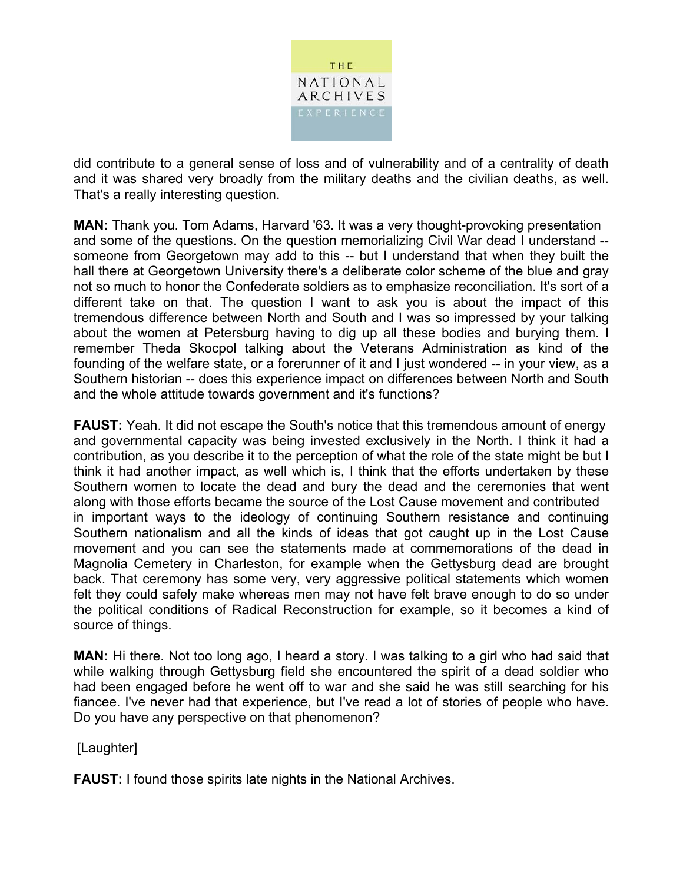

did contribute to a general sense of loss and of vulnerability and of a centrality of death and it was shared very broadly from the military deaths and the civilian deaths, as well. That's a really interesting question.

**MAN:** Thank you. Tom Adams, Harvard '63. It was a very thought-provoking presentation and some of the questions. On the question memorializing Civil War dead I understand - someone from Georgetown may add to this -- but I understand that when they built the hall there at Georgetown University there's a deliberate color scheme of the blue and gray not so much to honor the Confederate soldiers as to emphasize reconciliation. It's sort of a different take on that. The question I want to ask you is about the impact of this tremendous difference between North and South and I was so impressed by your talking about the women at Petersburg having to dig up all these bodies and burying them. I remember Theda Skocpol talking about the Veterans Administration as kind of the founding of the welfare state, or a forerunner of it and I just wondered -- in your view, as a Southern historian -- does this experience impact on differences between North and South and the whole attitude towards government and it's functions?

**FAUST:** Yeah. It did not escape the South's notice that this tremendous amount of energy and governmental capacity was being invested exclusively in the North. I think it had a contribution, as you describe it to the perception of what the role of the state might be but I think it had another impact, as well which is, I think that the efforts undertaken by these Southern women to locate the dead and bury the dead and the ceremonies that went along with those efforts became the source of the Lost Cause movement and contributed in important ways to the ideology of continuing Southern resistance and continuing Southern nationalism and all the kinds of ideas that got caught up in the Lost Cause movement and you can see the statements made at commemorations of the dead in Magnolia Cemetery in Charleston, for example when the Gettysburg dead are brought back. That ceremony has some very, very aggressive political statements which women felt they could safely make whereas men may not have felt brave enough to do so under the political conditions of Radical Reconstruction for example, so it becomes a kind of source of things.

**MAN:** Hi there. Not too long ago, I heard a story. I was talking to a girl who had said that while walking through Gettysburg field she encountered the spirit of a dead soldier who had been engaged before he went off to war and she said he was still searching for his fiancee. I've never had that experience, but I've read a lot of stories of people who have. Do you have any perspective on that phenomenon?

[Laughter]

**FAUST:** I found those spirits late nights in the National Archives.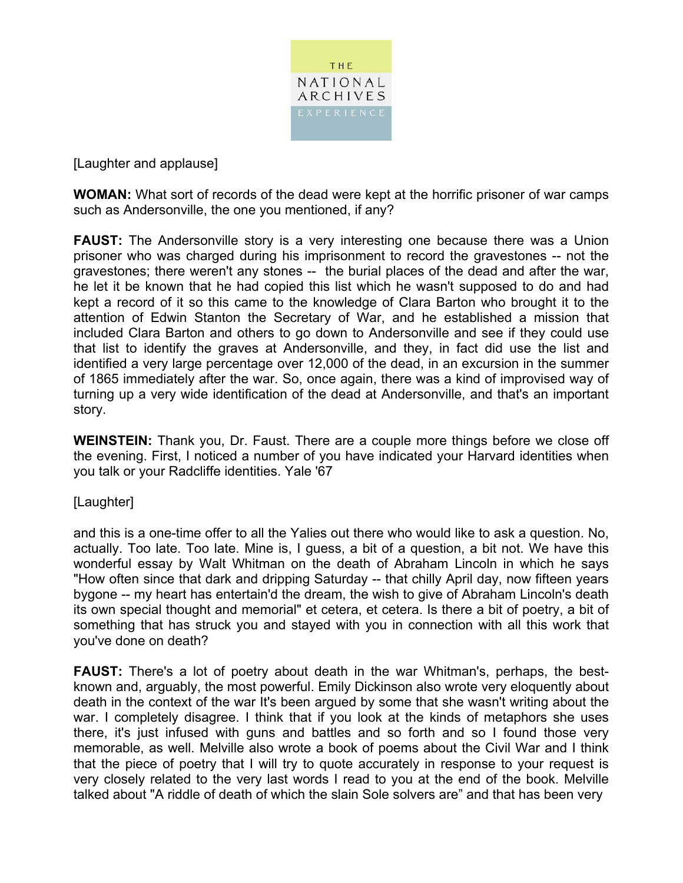

[Laughter and applause]

**WOMAN:** What sort of records of the dead were kept at the horrific prisoner of war camps such as Andersonville, the one you mentioned, if any?

**FAUST:** The Andersonville story is a very interesting one because there was a Union prisoner who was charged during his imprisonment to record the gravestones -- not the gravestones; there weren't any stones -- the burial places of the dead and after the war, he let it be known that he had copied this list which he wasn't supposed to do and had kept a record of it so this came to the knowledge of Clara Barton who brought it to the attention of Edwin Stanton the Secretary of War, and he established a mission that included Clara Barton and others to go down to Andersonville and see if they could use that list to identify the graves at Andersonville, and they, in fact did use the list and identified a very large percentage over 12,000 of the dead, in an excursion in the summer of 1865 immediately after the war. So, once again, there was a kind of improvised way of turning up a very wide identification of the dead at Andersonville, and that's an important story.

**WEINSTEIN:** Thank you, Dr. Faust. There are a couple more things before we close off the evening. First, I noticed a number of you have indicated your Harvard identities when you talk or your Radcliffe identities. Yale '67

### [Laughter]

and this is a one-time offer to all the Yalies out there who would like to ask a question. No, actually. Too late. Too late. Mine is, I guess, a bit of a question, a bit not. We have this wonderful essay by Walt Whitman on the death of Abraham Lincoln in which he says "How often since that dark and dripping Saturday -- that chilly April day, now fifteen years bygone -- my heart has entertain'd the dream, the wish to give of Abraham Lincoln's death its own special thought and memorial" et cetera, et cetera. Is there a bit of poetry, a bit of something that has struck you and stayed with you in connection with all this work that you've done on death?

**FAUST:** There's a lot of poetry about death in the war Whitman's, perhaps, the bestknown and, arguably, the most powerful. Emily Dickinson also wrote very eloquently about death in the context of the war It's been argued by some that she wasn't writing about the war. I completely disagree. I think that if you look at the kinds of metaphors she uses there, it's just infused with guns and battles and so forth and so I found those very memorable, as well. Melville also wrote a book of poems about the Civil War and I think that the piece of poetry that I will try to quote accurately in response to your request is very closely related to the very last words I read to you at the end of the book. Melville talked about "A riddle of death of which the slain Sole solvers are" and that has been very